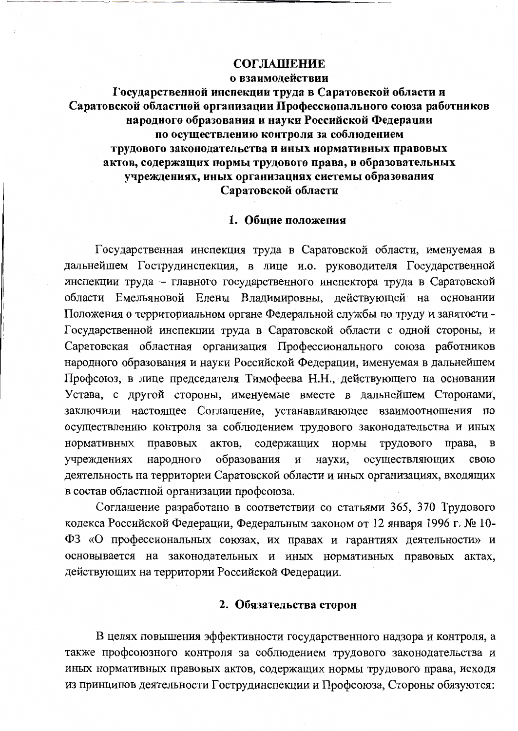## **СОГЛАШЕНИЕ**

о взаимолействии

Государственной инспекции труда в Саратовской области и Саратовской областной организации Профессионального союза работников народного образования и науки Российской Федерации по осуществлению контроля за соблюдением трудового законодательства и иных нормативных правовых актов, содержащих нормы трудового права, в образовательных учреждениях, иных организациях системы образования Саратовской области

## 1. Общие положения

Государственная инспекция труда в Саратовской области, именуемая в дальнейшем Гострудинспекция, в лице и.о. руководителя Государственной инспекции труда - главного государственного инспектора труда в Саратовской области Емельяновой Елены Владимировны, действующей на основании Положения о территориальном органе Федеральной службы по труду и занятости -Государственной инспекции труда в Саратовской области с одной стороны, и Саратовская областная организация Профессионального союза работников народного образования и науки Российской Федерации, именуемая в дальнейшем Профсоюз, в лице председателя Тимофеева Н.Н., действующего на основании Устава, с другой стороны, именуемые вместе в дальнейшем Сторонами, заключили настоящее Соглашение, устанавливающее взаимоотношения по осуществлению контроля за соблюдением трудового законодательства и иных нормативных правовых актов, содержащих нормы трудового права,  $\bf{B}$ учреждениях народного образования осуществляющих науки, свою  $\boldsymbol{\mathrm{M}}$ деятельность на территории Саратовской области и иных организациях, входящих в состав областной организации профсоюза.

Соглашение разработано в соответствии со статьями 365, 370 Трудового кодекса Российской Федерации, Федеральным законом от 12 января 1996 г. № 10-ФЗ «О профессиональных союзах, их правах и гарантиях деятельности» и основывается на законодательных и иных нормативных правовых актах, действующих на территории Российской Федерации.

## 2. Обязательства сторон

В целях повышения эффективности государственного надзора и контроля, а также профсоюзного контроля за соблюдением трудового законодательства и иных нормативных правовых актов, содержащих нормы трудового права, исходя из принципов деятельности Гострудинспекции и Профсоюза, Стороны обязуются: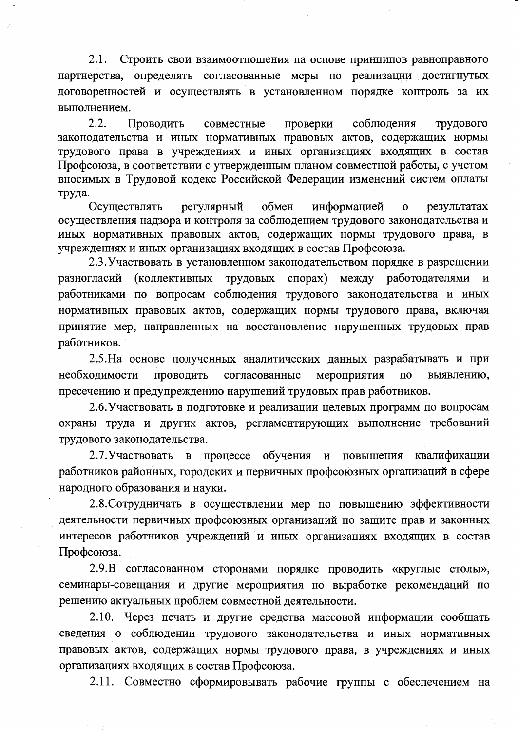$2.1.$ Строить свои взаимоотношения на основе принципов равноправного партнерства, определять согласованные меры по реализации достигнутых договоренностей и осуществлять в установленном порядке контроль за их выполнением.

 $2.2.$ соблюдения трудового Проводить совместные проверки законодательства и иных нормативных правовых актов, содержащих нормы трудового права в учреждениях и иных организациях входящих в состав Профсоюза, в соответствии с утвержденным планом совместной работы, с учетом вносимых в Трудовой кодекс Российской Федерации изменений систем оплаты труда.

обмен информацией Осуществлять регулярный  $\mathbf{o}$ результатах осуществления надзора и контроля за соблюдением трудового законодательства и иных нормативных правовых актов, содержащих нормы трудового права, в учреждениях и иных организациях входящих в состав Профсоюза.

2.3. Участвовать в установленном законодательством порядке в разрешении разногласий (коллективных трудовых спорах) между работодателями  $\mathbf{M}$ работниками по вопросам соблюдения трудового законодательства и иных нормативных правовых актов, содержащих нормы трудового права, включая принятие мер, направленных на восстановление нарушенных трудовых прав работников.

2.5. На основе полученных аналитических данных разрабатывать и при необходимости проводить согласованные мероприятия выявлению,  $\Pi$ O пресечению и предупреждению нарушений трудовых прав работников.

2.6. Участвовать в подготовке и реализации целевых программ по вопросам охраны труда и других актов, регламентирующих выполнение требований трудового законодательства.

2.7. Участвовать  $\mathbf{B}$ процессе обучения и повышения квалификации работников районных, городских и первичных профсоюзных организаций в сфере народного образования и науки.

2.8. Сотрудничать в осуществлении мер по повышению эффективности деятельности первичных профсоюзных организаций по защите прав и законных интересов работников учреждений и иных организациях входящих в состав Профсоюза.

2.9. В согласованном сторонами порядке проводить «круглые столы», семинары-совещания и другие мероприятия по выработке рекомендаций по решению актуальных проблем совместной деятельности.

2.10. Через печать и другие средства массовой информации сообщать сведения о соблюдении трудового законодательства и иных нормативных правовых актов, содержащих нормы трудового права, в учреждениях и иных организациях входящих в состав Профсоюза.

2.11. Совместно сформировывать рабочие группы с обеспечением на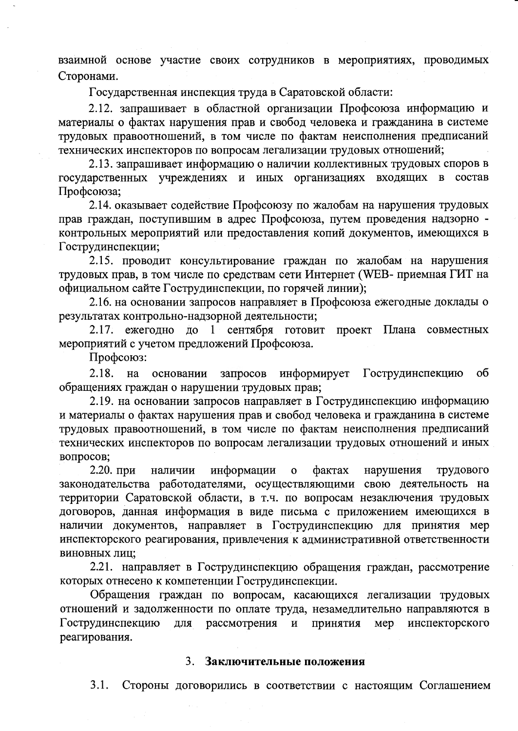взаимной основе участие своих сотрудников в мероприятиях, проводимых Сторонами.

Государственная инспекция труда в Саратовской области:

2.12. запрашивает в областной организации Профсоюза информацию и материалы о фактах нарушения прав и свобод человека и гражданина в системе трудовых правоотношений, в том числе по фактам неисполнения предписаний технических инспекторов по вопросам легализации трудовых отношений;

2.13. запрашивает информацию о наличии коллективных трудовых споров в государственных учреждениях и иных организациях входящих в состав Профсоюза;

2.14. оказывает содействие Профсоюзу по жалобам на нарушения трудовых прав граждан, поступившим в адрес Профсоюза, путем проведения надзорно контрольных мероприятий или предоставления копий документов, имеющихся в Гострудинспекции;

2.15. проводит консультирование граждан по жалобам на нарушения трудовых прав, в том числе по средствам сети Интернет (WEB- приемная ГИТ на официальном сайте Гострудинспекции, по горячей линии);

2.16. на основании запросов направляет в Профсоюза ежегодные доклады о результатах контрольно-надзорной деятельности;

2.17. ежегодно до 1 сентября готовит проект Плана совместных мероприятий с учетом предложений Профсоюза.

Профсоюз:

 $2.18.$ информирует Гострудинспекцию на основании запросов об обращениях граждан о нарушении трудовых прав;

2.19. на основании запросов направляет в Гострудинспекцию информацию и материалы о фактах нарушения прав и свобод человека и гражданина в системе трудовых правоотношений, в том числе по фактам неисполнения предписаний технических инспекторов по вопросам легализации трудовых отношений и иных вопросов;

2.20. при информации нарушения наличии  $\mathbf{o}$ **фактах** трудового законодательства работодателями, осуществляющими свою деятельность на территории Саратовской области, в т.ч. по вопросам незаключения трудовых договоров, данная информация в виде письма с приложением имеющихся в наличии документов, направляет в Гострудинспекцию для принятия мер инспекторского реагирования, привлечения к административной ответственности виновных лиц;

2.21. направляет в Гострудинспекцию обращения граждан, рассмотрение которых отнесено к компетенции Гострудинспекции.

Обращения граждан по вопросам, касающихся легализации трудовых отношений и задолженности по оплате труда, незамедлительно направляются в Гострудинспекцию рассмотрения Принятия инспекторского для  $\mathbf{M}$ мер реагирования.

## 3. Заключительные положения

 $3.1.$ Стороны договорились в соответствии с настоящим Соглашением